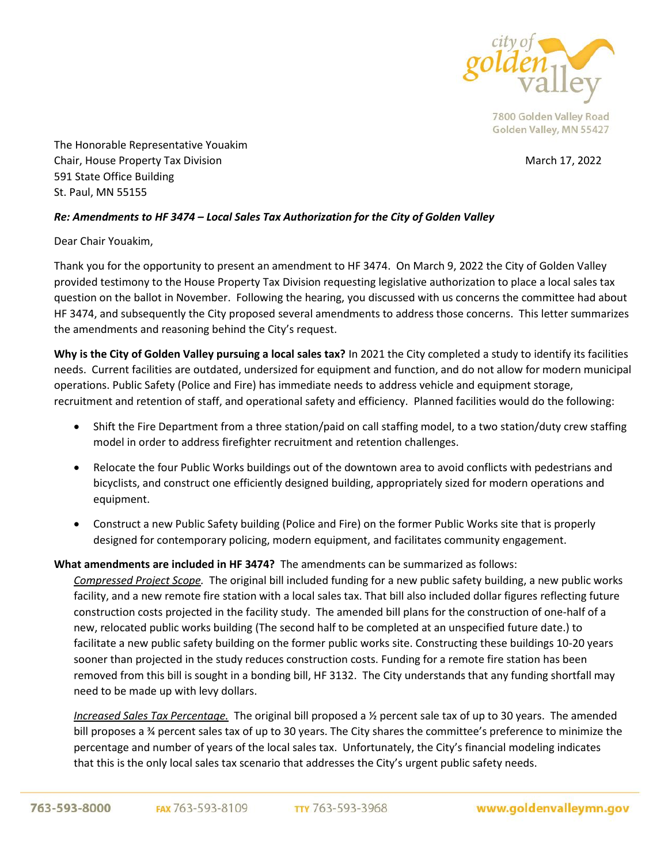

The Honorable Representative Youakim Chair, House Property Tax Division March 17, 2022 591 State Office Building St. Paul, MN 55155

## *Re: Amendments to HF 3474 – Local Sales Tax Authorization for the City of Golden Valley*

Dear Chair Youakim,

Thank you for the opportunity to present an amendment to HF 3474. On March 9, 2022 the City of Golden Valley provided testimony to the House Property Tax Division requesting legislative authorization to place a local sales tax question on the ballot in November. Following the hearing, you discussed with us concerns the committee had about HF 3474, and subsequently the City proposed several amendments to address those concerns. This letter summarizes the amendments and reasoning behind the City's request.

**Why is the City of Golden Valley pursuing a local sales tax?** In 2021 the City completed a study to identify its facilities needs. Current facilities are outdated, undersized for equipment and function, and do not allow for modern municipal operations. Public Safety (Police and Fire) has immediate needs to address vehicle and equipment storage, recruitment and retention of staff, and operational safety and efficiency. Planned facilities would do the following:

- Shift the Fire Department from a three station/paid on call staffing model, to a two station/duty crew staffing model in order to address firefighter recruitment and retention challenges.
- Relocate the four Public Works buildings out of the downtown area to avoid conflicts with pedestrians and bicyclists, and construct one efficiently designed building, appropriately sized for modern operations and equipment.
- Construct a new Public Safety building (Police and Fire) on the former Public Works site that is properly designed for contemporary policing, modern equipment, and facilitates community engagement.

## **What amendments are included in HF 3474?** The amendments can be summarized as follows:

*Compressed Project Scope.* The original bill included funding for a new public safety building, a new public works facility, and a new remote fire station with a local sales tax. That bill also included dollar figures reflecting future construction costs projected in the facility study. The amended bill plans for the construction of one-half of a new, relocated public works building (The second half to be completed at an unspecified future date.) to facilitate a new public safety building on the former public works site. Constructing these buildings 10-20 years sooner than projected in the study reduces construction costs. Funding for a remote fire station has been removed from this bill is sought in a bonding bill, HF 3132. The City understands that any funding shortfall may need to be made up with levy dollars.

*Increased Sales Tax Percentage.* The original bill proposed a ½ percent sale tax of up to 30 years. The amended bill proposes a ¾ percent sales tax of up to 30 years. The City shares the committee's preference to minimize the percentage and number of years of the local sales tax. Unfortunately, the City's financial modeling indicates that this is the only local sales tax scenario that addresses the City's urgent public safety needs.